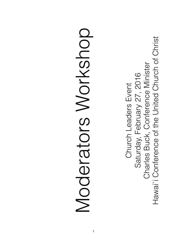Hawai'i Conference of the United Church of Christ Hawai`i Conference of the United Church of Christ Charles Buck, Conference Minister Charles Buck, Conference Minister Saturday, February 27, 2016 Saturday, February 27, 2016 Church Leaders Event Church Leaders Event

# Moderators Workshop Moderators Workshop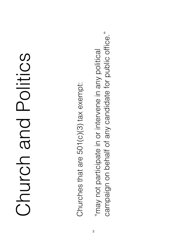## Church and Politics Church and Politics

Churches that are 501(c)(3) tax exempt: Churches that are 501(c)(3) tax exempt:

campaign on behalf of any candidate for public office." campaign on behalf of any candidate for public office." "may not participate in or intervene in any political "may not participate in or intervene in any political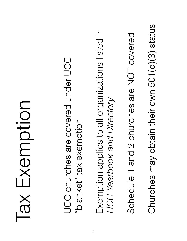#### Noitow Exemption Tax Exemption

• UCC churches are covered under UCC JCC churches are covered under UCC "blanket" tax exemption "blanket" tax exemption

• Exemption applies to all organizations listed in Exemption applies to all organizations listed in **JCC Yearbook and Directory** *UCC Yearbook and Directory*

• Schedule 1 and 2 churches are NOT covered Schedule 1 and 2 churches are NOT covered

Churches may obtain their own 501(c)(3) status • Churches may obtain their own 501(c)(3) status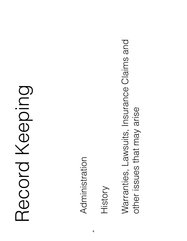#### Record Keeping Record Keeping

• Administration Administration

• History

• Warranties, Lawsuits, Insurance Claims and Warranties, Lawsuits, Insurance Claims and other issues that may arise other issues that may arise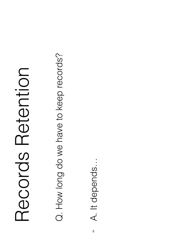### Records Retention Records Retention

Q. How long do we have to keep records? Q. How long do we have to keep records?

A. It depends… A. It depends...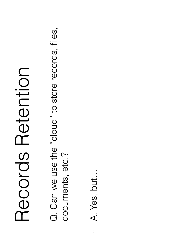### Records Retention Records Retention

Q. Can we use the "cloud" to store records, files, Q. Can we use the "cloud" to store records, files, documents, etc.? documents, etc.?

A. Yes, but... A. Yes, but…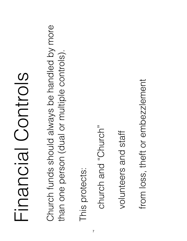### Financial Controls Blothoial Controls

Church funds should always be handled by more Church funds should always be handled by more than one person (dual or multiple controls). than one person (dual or multiple controls).

This protects: This protects:

• church and "Church" church and "Church"

• volunteers and staff volunteers and staff

from loss, theft or embezzlement from loss, theft or embezzlement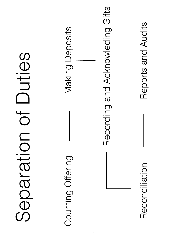| $\overline{\mathbb{O}}$<br>$\bigcirc$ |  |
|---------------------------------------|--|

Counting Offering **Making Deposits** Counting Offering

Making Deposits

Recording and Acknowleding Gifts Recording and Acknowleding Gifts

Reconciliation

Reports and Audits Reconciliation Reports and Audits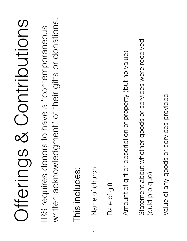# Offerings & Contributions Offerings & Contributions

written acknowledgment" of their gifts or donations. written acknowledgment" of their gifts or donations. IRS requires donors to have a "contemporaneous IRS requires donors to have a "contemporaneous

This includes: This includes: • Name of church Name of church

Date of gift Date of gift

• Amount of gift or description of property (but no value) Amount of gift or description of property (but no value)

Statement about whether goods or services were received Statement about whether goods or services were received (quid pro quo) (quid pro quo)

Value of any goods or services provided • Value of any goods or services provided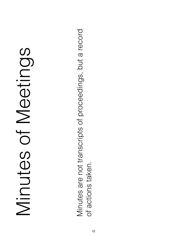# Minutes of Meetings Minutes of Meetings

Minutes are not transcripts of proceedings, but a record Minutes are not transcripts of proceedings, but a record of actions taken. of actions taken.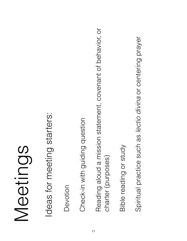## Meetings

Ideas for meeting starters: Ideas for meeting starters:

Devotion Devotion

Check-in with guiding question Check-in with guiding question

• Reading aloud a mission statement, covenant of behavior, or Reading aloud a mission statement, covenant of behavior, or charter (purposes) charter (purposes)

Bible reading or study Bible reading or study Spiritual practice such as lectio divina or centering prayer • Spiritual practice such as *lectio divina* or centering prayer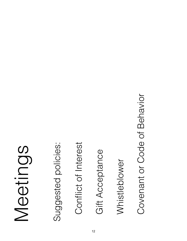## Meetings

Suggested policies: Suggested policies:

Conflict of Interest Conflict of Interest

Gift Acceptance Gift Acceptance

• Whistleblower Whistleblower

Covenant or Code of Behavior Covenant or Code of Behavior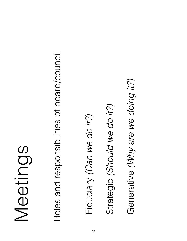## Meetings

Roles and responsibilities of board/council Roles and responsibilities of board/council

Fiduciary (Can we do it?) • Fiduciary *(Can we do it?)* Strategic (Should we do it?) • Strategic *(Should we do it?)*

Generative (Why are we doing it?) • Generative *(Why are we doing it?)*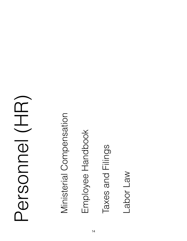#### Personel (HR) Personnel (HR)

• Ministerial Compensation Ministerial Compensation

• Employee Handbook Employee Handbook

Taxes and Filings Taxes and Filings

Labor Law • Labor Law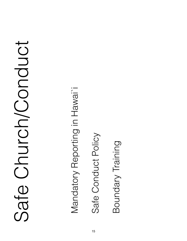# Safe Church/Conduct Safe Church/Conduct

• Mandatory Reporting in Hawai`i Mandatory Reporting in Hawai<sup>1</sup>

Safe Conduct Policy Safe Conduct Policy

Boundary Training Boundary Training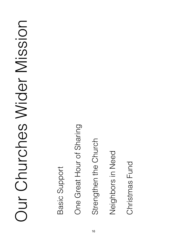# Our Churches Wider Mission Our Churches Wider Mission

Basic Support Basic Support

One Great Hour of Sharing One Great Hour of Sharing

Strengthen the Church Strengthen the Church

• Neighbors in Need Neighbors in Need

Christmas Fund • Christmas Fund